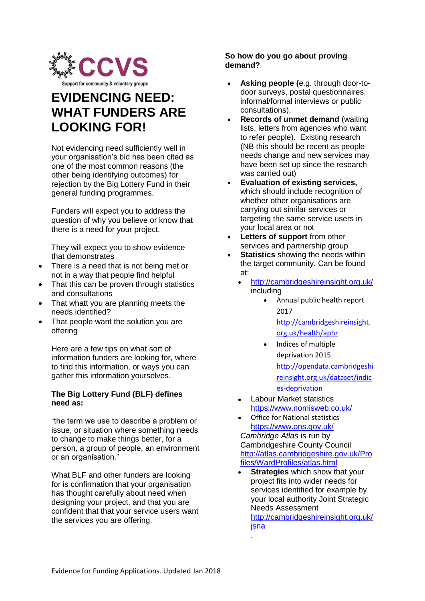

# **EVIDENCING NEED: WHAT FUNDERS ARE LOOKING FOR!**

Not evidencing need sufficiently well in your organisation's bid has been cited as one of the most common reasons (the other being identifying outcomes) for reiection by the Big Lottery Fund in their general funding programmes.

Funders will expect you to address the question of why you believe or know that there is a need for your project.

They will expect you to show evidence that demonstrates

- There is a need that is not being met or not in a way that people find helpful
- That this can be proven through statistics and consultations
- That whatt you are planning meets the needs identified?
- That people want the solution you are offering

Here are a few tips on what sort of information funders are looking for, where to find this information, or ways you can gather this information yourselves.

## **The Big Lottery Fund (BLF) defines need as:**

"the term we use to describe a problem or issue, or situation where something needs to change to make things better, for a person, a group of people, an environment or an organisation."

What BLF and other funders are looking for is confirmation that your organisation has thought carefully about need when designing your project, and that you are confident that that your service users want the services you are offering.

## **So how do you go about proving demand?**

- **Asking people (**e.g. through door-todoor surveys, postal questionnaires, informal/formal interviews or public consultations).
- **Records of unmet demand (waiting)** lists, letters from agencies who want to refer people). Existing research (NB this should be recent as people needs change and new services may have been set up since the research was carried out)
- **Evaluation of existing services,** which should include recognition of whether other organisations are carrying out similar services or targeting the same service users in your local area or not
- **Letters of support** from other services and partnership group
- **Statistics** showing the needs within the target community. Can be found at:
	- <http://cambridgeshireinsight.org.uk/> including
		- Annual public health report 2017 [http://cambridgeshireinsight.](http://cambridgeshireinsight.org.uk/health/aphr) [org.uk/health/aphr](http://cambridgeshireinsight.org.uk/health/aphr)
		- Indices of multiple deprivation 2015 [http://opendata.cambridgeshi](http://opendata.cambridgeshireinsight.org.uk/dataset/indices-deprivation) [reinsight.org.uk/dataset/indic](http://opendata.cambridgeshireinsight.org.uk/dataset/indices-deprivation) [es-deprivation](http://opendata.cambridgeshireinsight.org.uk/dataset/indices-deprivation)
	- Labour Market statistics <https://www.nomisweb.co.uk/>
	- Office for National statistics <https://www.ons.gov.uk/> *Cambridge Atlas* is run by Cambridgeshire County Council [http://atlas.cambridgeshire.gov.uk/Pro](http://atlas.cambridgeshire.gov.uk/Profiles/WardProfiles/atlas.html) [files/WardProfiles/atlas.html](http://atlas.cambridgeshire.gov.uk/Profiles/WardProfiles/atlas.html)
	- **Strategies** which show that your project fits into wider needs for services identified for example by your local authority Joint Strategic Needs Assessment [http://cambridgeshireinsight.org.uk/](http://cambridgeshireinsight.org.uk/jsna) [jsna](http://cambridgeshireinsight.org.uk/jsna)

.